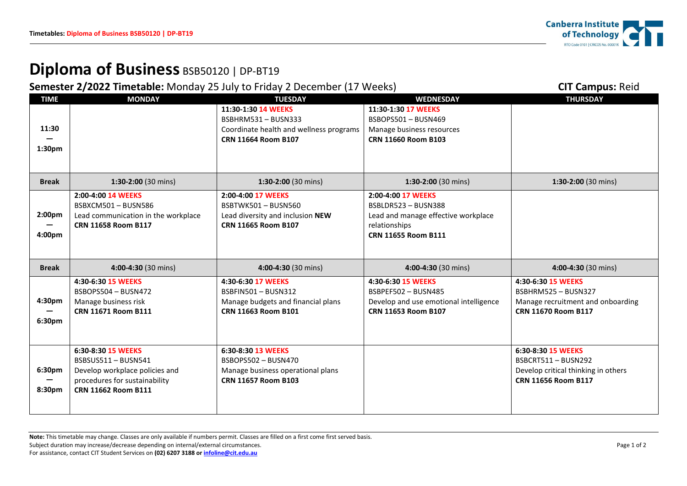## **Diploma of Business** BSB50120 | DP-BT19

**Semester 2/2022 Timetable:** Monday 25 July to Friday 2 December (17 Weeks) **CIT Campus: Reid CIT Campus: Reid** 

| <b>TIME</b>        | <b>MONDAY</b>                           | <b>TUESDAY</b>                           | <b>WEDNESDAY</b>                         | <b>THURSDAY</b>                     |
|--------------------|-----------------------------------------|------------------------------------------|------------------------------------------|-------------------------------------|
|                    |                                         | 11:30-1:30 14 WEEKS<br>BSBHRM531-BUSN333 | 11:30-1:30 17 WEEKS<br>BSBOPS501-BUSN469 |                                     |
| 11:30              |                                         | Coordinate health and wellness programs  | Manage business resources                |                                     |
|                    |                                         | <b>CRN 11664 Room B107</b>               | <b>CRN 11660 Room B103</b>               |                                     |
| 1:30pm             |                                         |                                          |                                          |                                     |
|                    |                                         |                                          |                                          |                                     |
| <b>Break</b>       | 1:30-2:00 (30 mins)                     | 1:30-2:00 (30 mins)                      | 1:30-2:00 (30 mins)                      | 1:30-2:00 (30 mins)                 |
|                    |                                         |                                          |                                          |                                     |
|                    | 2:00-4:00 14 WEEKS<br>BSBXCM501-BUSN586 | 2:00-4:00 17 WEEKS<br>BSBTWK501-BUSN560  | 2:00-4:00 17 WEEKS<br>BSBLDR523-BUSN388  |                                     |
| 2:00 <sub>pm</sub> | Lead communication in the workplace     | Lead diversity and inclusion NEW         | Lead and manage effective workplace      |                                     |
|                    | CRN 11658 Room B117                     | CRN 11665 Room B107                      | relationships                            |                                     |
| 4:00pm             |                                         |                                          | <b>CRN 11655 Room B111</b>               |                                     |
|                    |                                         |                                          |                                          |                                     |
|                    |                                         |                                          |                                          |                                     |
| <b>Break</b>       | 4:00-4:30 (30 mins)                     | 4:00-4:30 (30 mins)                      | 4:00-4:30 (30 mins)                      | 4:00-4:30 (30 mins)                 |
|                    | 4:30-6:30 15 WEEKS                      | 4:30-6:30 17 WEEKS                       | 4:30-6:30 15 WEEKS                       | 4:30-6:30 15 WEEKS                  |
|                    | BSBOPS504 - BUSN472                     | BSBFIN501-BUSN312                        | BSBPEF502-BUSN485                        | BSBHRM525 - BUSN327                 |
| 4:30pm             | Manage business risk                    | Manage budgets and financial plans       | Develop and use emotional intelligence   | Manage recruitment and onboarding   |
|                    | CRN 11671 Room B111                     | CRN 11663 Room B101                      | CRN 11653 Room B107                      | CRN 11670 Room B117                 |
| 6:30pm             |                                         |                                          |                                          |                                     |
|                    |                                         |                                          |                                          |                                     |
|                    | 6:30-8:30 15 WEEKS                      | 6:30-8:30 13 WEEKS                       |                                          | 6:30-8:30 15 WEEKS                  |
|                    | BSBSUS511-BUSN541                       | BSBOPS502 - BUSN470                      |                                          | BSBCRT511-BUSN292                   |
| 6:30pm             | Develop workplace policies and          | Manage business operational plans        |                                          | Develop critical thinking in others |
|                    | procedures for sustainability           | <b>CRN 11657 Room B103</b>               |                                          | <b>CRN 11656 Room B117</b>          |
| 8:30pm             | CRN 11662 Room B111                     |                                          |                                          |                                     |
|                    |                                         |                                          |                                          |                                     |
|                    |                                         |                                          |                                          |                                     |

**Note:** This timetable may change. Classes are only available if numbers permit. Classes are filled on a first come first served basis. Subject duration may increase/decrease depending on internal/external circumstances. Page 1 of 2 For assistance, contact CIT Student Services on **(02) 6207 3188 o[r infoline@cit.edu.au](mailto:infoline@cit.edu.au)**